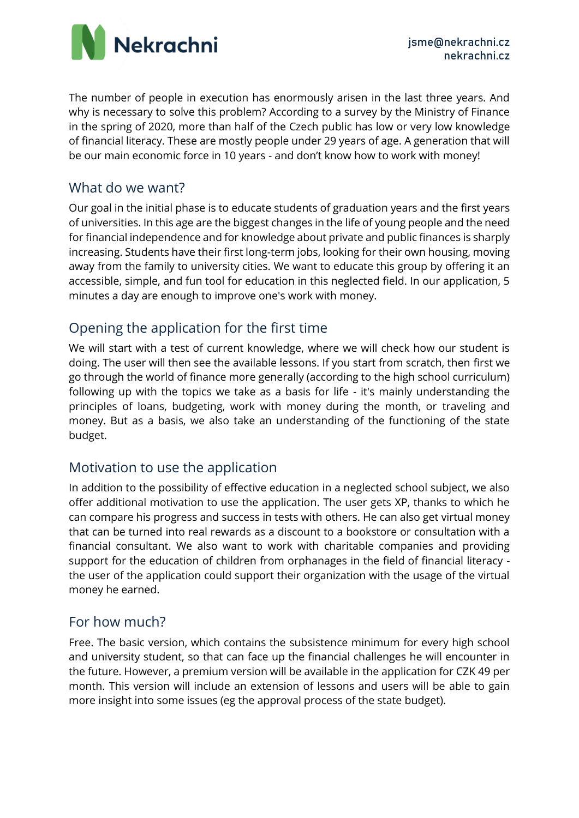

The number of people in execution has enormously arisen in the last three years. And why is necessary to solve this problem? According to a survey by the Ministry of Finance in the spring of 2020, more than half of the Czech public has low or very low knowledge of financial literacy. These are mostly people under 29 years of age. A generation that will be our main economic force in 10 years - and don't know how to work with money!

#### What do we want?

Our goal in the initial phase is to educate students of graduation years and the first years of universities. In this age are the biggest changes in the life of young people and the need for financial independence and for knowledge about private and public finances is sharply increasing. Students have their first long-term jobs, looking for their own housing, moving away from the family to university cities. We want to educate this group by offering it an accessible, simple, and fun tool for education in this neglected field. In our application, 5 minutes a day are enough to improve one's work with money.

# Opening the application for the first time

We will start with a test of current knowledge, where we will check how our student is doing. The user will then see the available lessons. If you start from scratch, then first we go through the world of finance more generally (according to the high school curriculum) following up with the topics we take as a basis for life - it's mainly understanding the principles of loans, budgeting, work with money during the month, or traveling and money. But as a basis, we also take an understanding of the functioning of the state budget.

### Motivation to use the application

In addition to the possibility of effective education in a neglected school subject, we also offer additional motivation to use the application. The user gets XP, thanks to which he can compare his progress and success in tests with others. He can also get virtual money that can be turned into real rewards as a discount to a bookstore or consultation with a financial consultant. We also want to work with charitable companies and providing support for the education of children from orphanages in the field of financial literacy the user of the application could support their organization with the usage of the virtual money he earned.

## For how much?

Free. The basic version, which contains the subsistence minimum for every high school and university student, so that can face up the financial challenges he will encounter in the future. However, a premium version will be available in the application for CZK 49 per month. This version will include an extension of lessons and users will be able to gain more insight into some issues (eg the approval process of the state budget).